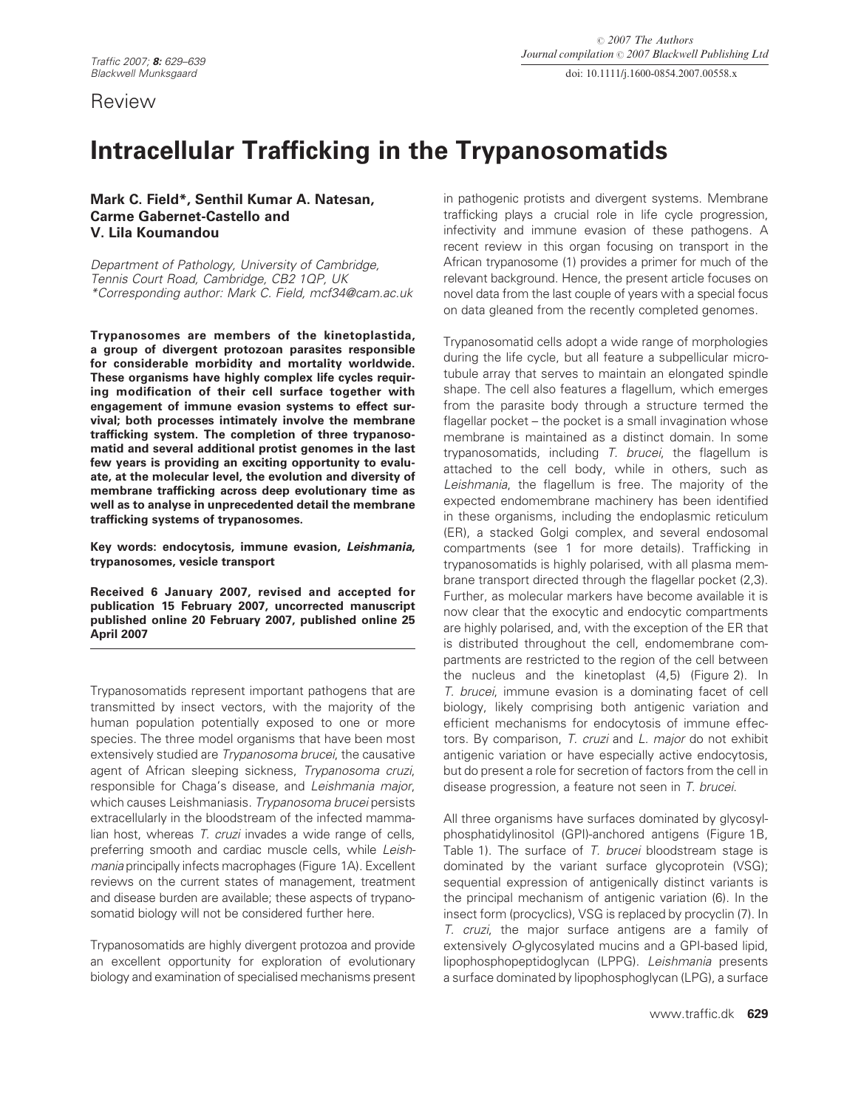# Intracellular Trafficking in the Trypanosomatids

## Mark C. Field\*, Senthil Kumar A. Natesan, Carme Gabernet-Castello and V. Lila Koumandou

Department of Pathology, University of Cambridge, Tennis Court Road, Cambridge, CB2 1QP, UK \*Corresponding author: Mark C. Field, mcf34@cam.ac.uk

Trypanosomes are members of the kinetoplastida, a group of divergent protozoan parasites responsible for considerable morbidity and mortality worldwide. These organisms have highly complex life cycles requiring modification of their cell surface together with engagement of immune evasion systems to effect survival; both processes intimately involve the membrane trafficking system. The completion of three trypanosomatid and several additional protist genomes in the last few years is providing an exciting opportunity to evaluate, at the molecular level, the evolution and diversity of membrane trafficking across deep evolutionary time as well as to analyse in unprecedented detail the membrane trafficking systems of trypanosomes.

Key words: endocytosis, immune evasion, Leishmania, trypanosomes, vesicle transport

Received 6 January 2007, revised and accepted for publication 15 February 2007, uncorrected manuscript published online 20 February 2007, published online 25 April 2007

Trypanosomatids represent important pathogens that are transmitted by insect vectors, with the majority of the human population potentially exposed to one or more species. The three model organisms that have been most extensively studied are Trypanosoma brucei, the causative agent of African sleeping sickness, Trypanosoma cruzi, responsible for Chaga's disease, and Leishmania major, which causes Leishmaniasis. Trypanosoma brucei persists extracellularly in the bloodstream of the infected mammalian host, whereas T. cruzi invades a wide range of cells, preferring smooth and cardiac muscle cells, while Leishmania principally infects macrophages (Figure 1A). Excellent reviews on the current states of management, treatment and disease burden are available; these aspects of trypanosomatid biology will not be considered further here.

Trypanosomatids are highly divergent protozoa and provide an excellent opportunity for exploration of evolutionary biology and examination of specialised mechanisms present in pathogenic protists and divergent systems. Membrane trafficking plays a crucial role in life cycle progression, infectivity and immune evasion of these pathogens. A recent review in this organ focusing on transport in the African trypanosome (1) provides a primer for much of the relevant background. Hence, the present article focuses on novel data from the last couple of years with a special focus on data gleaned from the recently completed genomes.

Trypanosomatid cells adopt a wide range of morphologies during the life cycle, but all feature a subpellicular microtubule array that serves to maintain an elongated spindle shape. The cell also features a flagellum, which emerges from the parasite body through a structure termed the flagellar pocket – the pocket is a small invagination whose membrane is maintained as a distinct domain. In some trypanosomatids, including T. brucei, the flagellum is attached to the cell body, while in others, such as Leishmania, the flagellum is free. The majority of the expected endomembrane machinery has been identified in these organisms, including the endoplasmic reticulum (ER), a stacked Golgi complex, and several endosomal compartments (see 1 for more details). Trafficking in trypanosomatids is highly polarised, with all plasma membrane transport directed through the flagellar pocket (2,3). Further, as molecular markers have become available it is now clear that the exocytic and endocytic compartments are highly polarised, and, with the exception of the ER that is distributed throughout the cell, endomembrane compartments are restricted to the region of the cell between the nucleus and the kinetoplast (4,5) (Figure 2). In T. brucei, immune evasion is a dominating facet of cell biology, likely comprising both antigenic variation and efficient mechanisms for endocytosis of immune effectors. By comparison, T. cruzi and L. major do not exhibit antigenic variation or have especially active endocytosis, but do present a role for secretion of factors from the cell in disease progression, a feature not seen in T. brucei.

All three organisms have surfaces dominated by glycosylphosphatidylinositol (GPI)-anchored antigens (Figure 1B, Table 1). The surface of T. brucei bloodstream stage is dominated by the variant surface glycoprotein (VSG); sequential expression of antigenically distinct variants is the principal mechanism of antigenic variation (6). In the insect form (procyclics), VSG is replaced by procyclin (7). In T. cruzi, the major surface antigens are a family of extensively O-glycosylated mucins and a GPI-based lipid, lipophosphopeptidoglycan (LPPG). Leishmania presents a surface dominated by lipophosphoglycan (LPG), a surface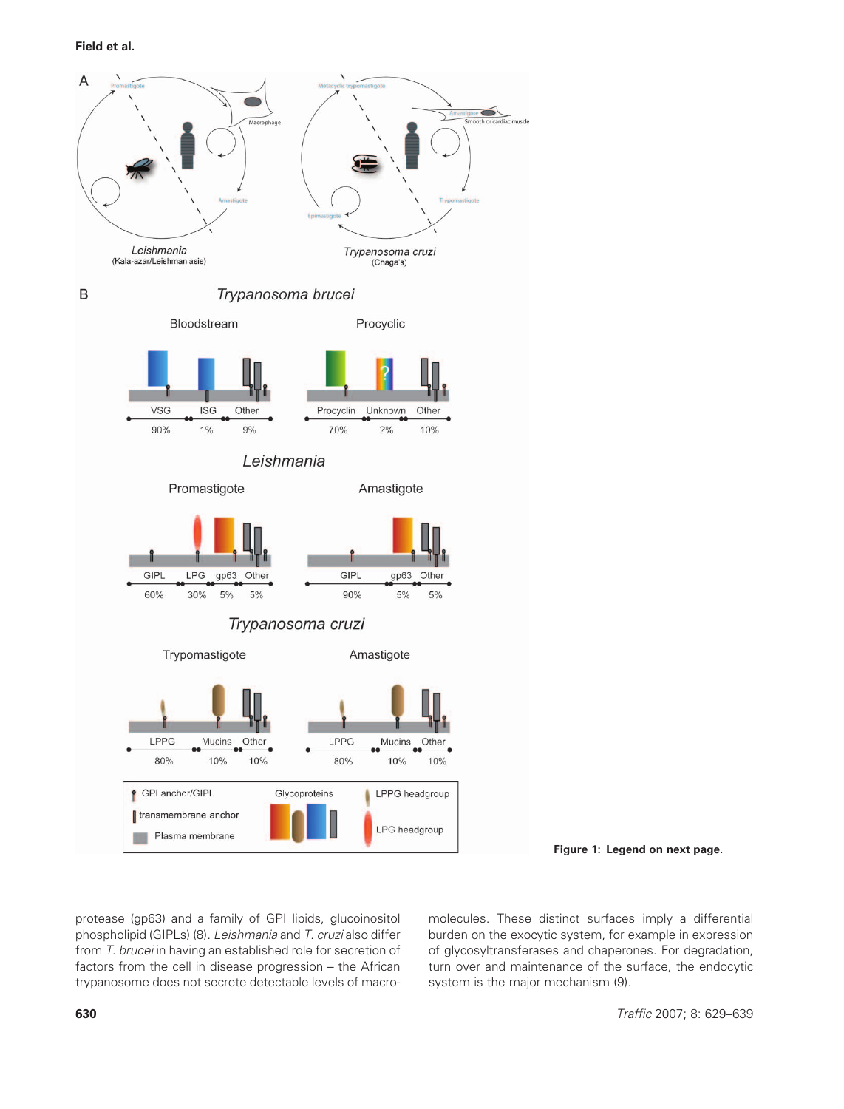



protease (gp63) and a family of GPI lipids, glucoinositol phospholipid (GIPLs) (8). Leishmania and T. cruzi also differ from T. brucei in having an established role for secretion of factors from the cell in disease progression – the African trypanosome does not secrete detectable levels of macromolecules. These distinct surfaces imply a differential burden on the exocytic system, for example in expression of glycosyltransferases and chaperones. For degradation, turn over and maintenance of the surface, the endocytic system is the major mechanism (9).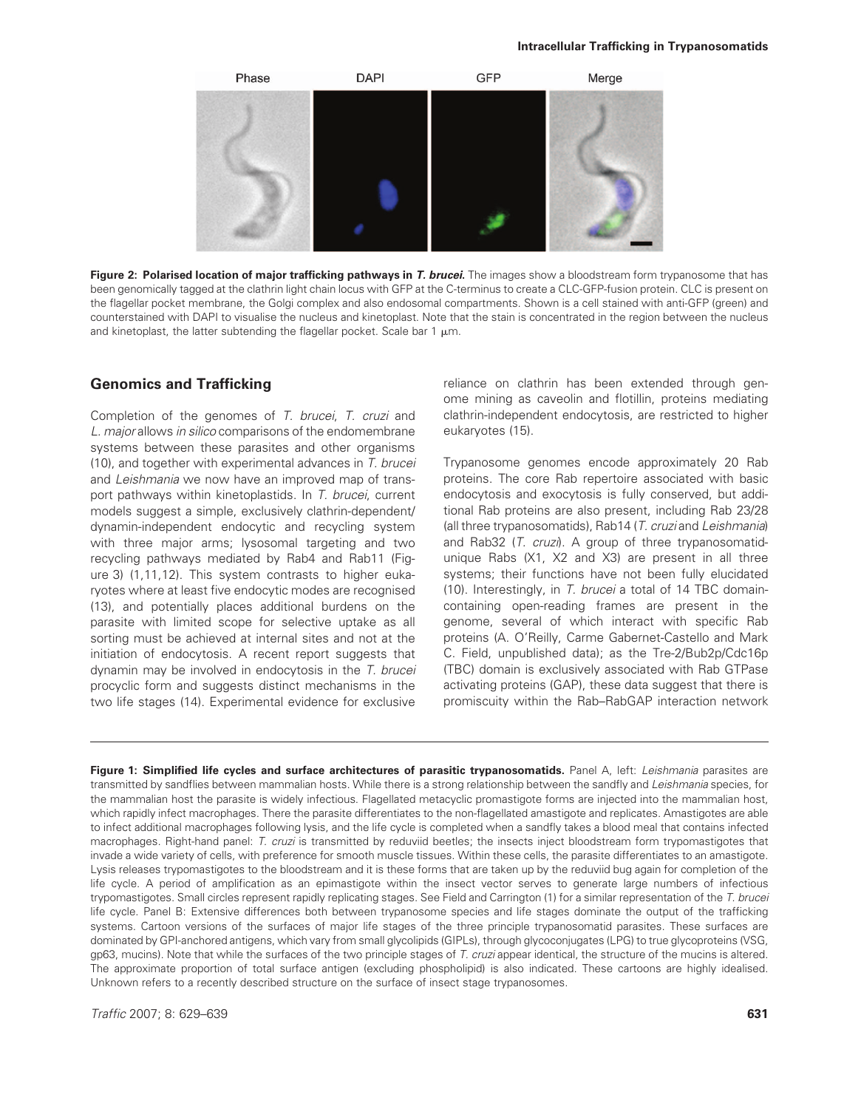#### Intracellular Trafficking in Trypanosomatids



Figure 2: Polarised location of major trafficking pathways in T. brucei. The images show a bloodstream form trypanosome that has been genomically tagged at the clathrin light chain locus with GFP at the C-terminus to create a CLC-GFP-fusion protein. CLC is present on the flagellar pocket membrane, the Golgi complex and also endosomal compartments. Shown is a cell stained with anti-GFP (green) and counterstained with DAPI to visualise the nucleus and kinetoplast. Note that the stain is concentrated in the region between the nucleus and kinetoplast, the latter subtending the flagellar pocket. Scale bar 1  $\mu$ m.

#### Genomics and Trafficking

Completion of the genomes of T. brucei, T. cruzi and L. major allows in silico comparisons of the endomembrane systems between these parasites and other organisms (10), and together with experimental advances in T. brucei and Leishmania we now have an improved map of transport pathways within kinetoplastids. In T. brucei, current models suggest a simple, exclusively clathrin-dependent/ dynamin-independent endocytic and recycling system with three major arms; lysosomal targeting and two recycling pathways mediated by Rab4 and Rab11 (Figure 3) (1,11,12). This system contrasts to higher eukaryotes where at least five endocytic modes are recognised (13), and potentially places additional burdens on the parasite with limited scope for selective uptake as all sorting must be achieved at internal sites and not at the initiation of endocytosis. A recent report suggests that dynamin may be involved in endocytosis in the T. brucei procyclic form and suggests distinct mechanisms in the two life stages (14). Experimental evidence for exclusive

reliance on clathrin has been extended through genome mining as caveolin and flotillin, proteins mediating clathrin-independent endocytosis, are restricted to higher eukaryotes (15).

Trypanosome genomes encode approximately 20 Rab proteins. The core Rab repertoire associated with basic endocytosis and exocytosis is fully conserved, but additional Rab proteins are also present, including Rab 23/28 (all three trypanosomatids), Rab14 (T. cruzi and Leishmania) and Rab32 (T. cruzi). A group of three trypanosomatidunique Rabs (X1, X2 and X3) are present in all three systems; their functions have not been fully elucidated (10). Interestingly, in T. brucei a total of 14 TBC domaincontaining open-reading frames are present in the genome, several of which interact with specific Rab proteins (A. O'Reilly, Carme Gabernet-Castello and Mark C. Field, unpublished data); as the Tre-2/Bub2p/Cdc16p (TBC) domain is exclusively associated with Rab GTPase activating proteins (GAP), these data suggest that there is promiscuity within the Rab–RabGAP interaction network

Figure 1: Simplified life cycles and surface architectures of parasitic trypanosomatids. Panel A, left: Leishmania parasites are transmitted by sandflies between mammalian hosts. While there is a strong relationship between the sandfly and Leishmania species, for the mammalian host the parasite is widely infectious. Flagellated metacyclic promastigote forms are injected into the mammalian host, which rapidly infect macrophages. There the parasite differentiates to the non-flagellated amastigote and replicates. Amastigotes are able to infect additional macrophages following lysis, and the life cycle is completed when a sandfly takes a blood meal that contains infected macrophages. Right-hand panel: T. cruzi is transmitted by reduviid beetles; the insects inject bloodstream form trypomastigotes that invade a wide variety of cells, with preference for smooth muscle tissues. Within these cells, the parasite differentiates to an amastigote. Lysis releases trypomastigotes to the bloodstream and it is these forms that are taken up by the reduviid bug again for completion of the life cycle. A period of amplification as an epimastigote within the insect vector serves to generate large numbers of infectious trypomastigotes. Small circles represent rapidly replicating stages. See Field and Carrington (1) for a similar representation of the T. brucei life cycle. Panel B: Extensive differences both between trypanosome species and life stages dominate the output of the trafficking systems. Cartoon versions of the surfaces of major life stages of the three principle trypanosomatid parasites. These surfaces are dominated by GPI-anchored antigens, which vary from small glycolipids (GIPLs), through glycoconjugates (LPG) to true glycoproteins (VSG, gp63, mucins). Note that while the surfaces of the two principle stages of T. cruzi appear identical, the structure of the mucins is altered. The approximate proportion of total surface antigen (excluding phospholipid) is also indicated. These cartoons are highly idealised. Unknown refers to a recently described structure on the surface of insect stage trypanosomes.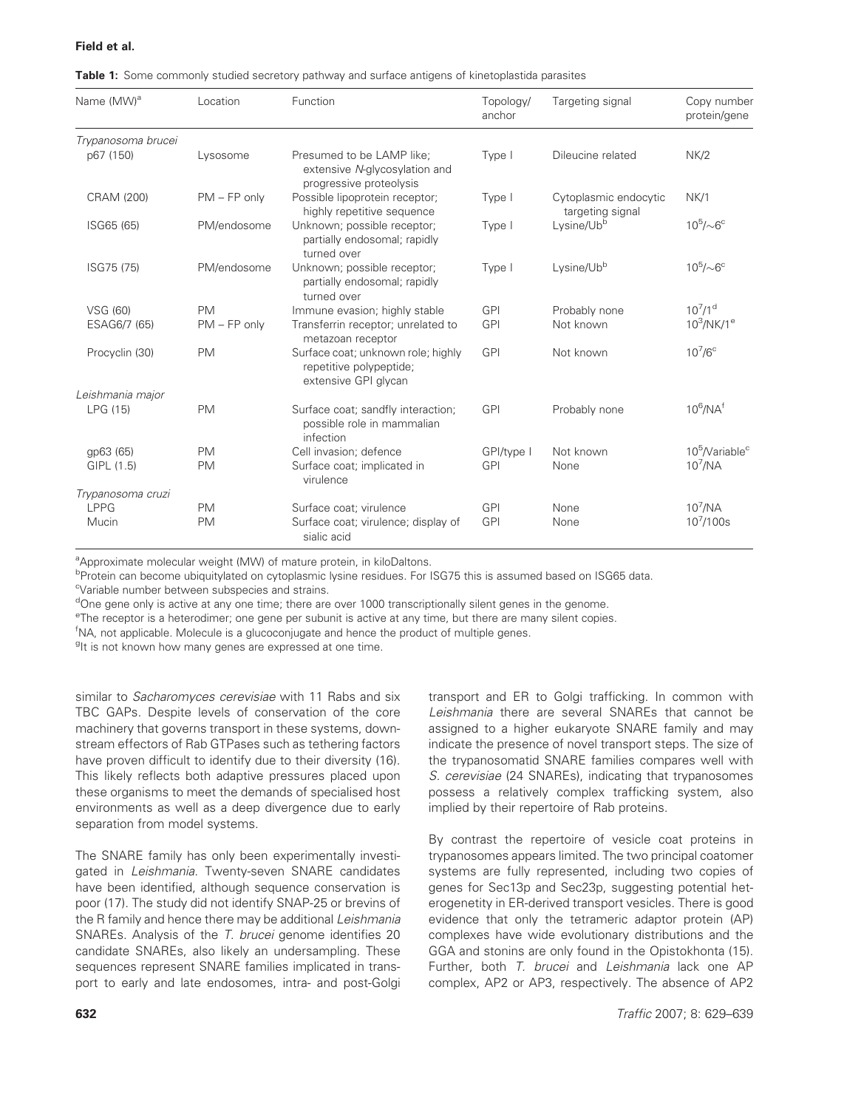|  | Table 1: Some commonly studied secretory pathway and surface antigens of kinetoplastida parasites |  |  |  |
|--|---------------------------------------------------------------------------------------------------|--|--|--|
|  |                                                                                                   |  |  |  |

| Name (MW) <sup>a</sup> | Location         | Function                                                                              | Topology/<br>anchor | Targeting signal                          | Copy number<br>protein/gene   |
|------------------------|------------------|---------------------------------------------------------------------------------------|---------------------|-------------------------------------------|-------------------------------|
| Trypanosoma brucei     |                  |                                                                                       |                     |                                           |                               |
| p67 (150)              | Lysosome         | Presumed to be LAMP like;<br>extensive N-glycosylation and<br>progressive proteolysis | Type I              | Dileucine related                         | NK/2                          |
| CRAM (200)             | $PM$ – $FP$ only | Possible lipoprotein receptor;<br>highly repetitive sequence                          | Type I              | Cytoplasmic endocytic<br>targeting signal | NK/1                          |
| ISG65 (65)             | PM/endosome      | Unknown; possible receptor;<br>partially endosomal; rapidly<br>turned over            | Type I              | Lysine/Ub <sup>b</sup>                    | $10^5/\sim 6^{\circ}$         |
| ISG75 (75)             | PM/endosome      | Unknown; possible receptor;<br>partially endosomal; rapidly<br>turned over            | Type I              | Lysine/Ub <sup>b</sup>                    | $10^5/\sim 6^{\circ}$         |
| VSG (60)               | <b>PM</b>        | Immune evasion; highly stable                                                         | <b>GPI</b>          | Probably none                             | $10^{7}/1^{d}$                |
| ESAG6/7 (65)           | $PM$ – $FP$ only | Transferrin receptor; unrelated to<br>metazoan receptor                               | <b>GPI</b>          | Not known                                 | $10^3/NK/1^e$                 |
| Procyclin (30)         | <b>PM</b>        | Surface coat; unknown role; highly<br>repetitive polypeptide;<br>extensive GPI glycan | <b>GPI</b>          | Not known                                 | $10^{7}/6$ °                  |
| Leishmania major       |                  |                                                                                       |                     |                                           |                               |
| LPG (15)               | <b>PM</b>        | Surface coat; sandfly interaction;<br>possible role in mammalian<br>infection         | <b>GPI</b>          | Probably none                             | $10^6/\text{NA}$ <sup>f</sup> |
| qp63 (65)              | <b>PM</b>        | Cell invasion; defence                                                                | GPI/type I          | Not known                                 | $10^5$ /Variable <sup>c</sup> |
| GIPL (1.5)             | <b>PM</b>        | Surface coat; implicated in<br>virulence                                              | <b>GPI</b>          | None                                      | $10^7/NA$                     |
| Trypanosoma cruzi      |                  |                                                                                       |                     |                                           |                               |
| <b>LPPG</b>            | <b>PM</b>        | Surface coat; virulence                                                               | <b>GPI</b>          | None                                      | $10^7/NA$                     |
| Mucin                  | <b>PM</b>        | Surface coat; virulence; display of<br>sialic acid                                    | <b>GPI</b>          | None                                      | $10^{7}/100s$                 |

<sup>a</sup>Approximate molecular weight (MW) of mature protein, in kiloDaltons.

**<sup>b</sup>Protein can become ubiquitylated on cytoplasmic lysine residues. For ISG75 this is assumed based on ISG65 data.** 

cVariable number between subspecies and strains.

<sup>d</sup>One gene only is active at any one time; there are over 1000 transcriptionally silent genes in the genome.

<sup>e</sup>The receptor is a heterodimer; one gene per subunit is active at any time, but there are many silent copies.

<sup>f</sup>NA, not applicable. Molecule is a glucoconjugate and hence the product of multiple genes.

<sup>g</sup>lt is not known how many genes are expressed at one time.

similar to Sacharomyces cerevisiae with 11 Rabs and six TBC GAPs. Despite levels of conservation of the core machinery that governs transport in these systems, downstream effectors of Rab GTPases such as tethering factors have proven difficult to identify due to their diversity (16). This likely reflects both adaptive pressures placed upon these organisms to meet the demands of specialised host environments as well as a deep divergence due to early separation from model systems.

The SNARE family has only been experimentally investigated in Leishmania. Twenty-seven SNARE candidates have been identified, although sequence conservation is poor (17). The study did not identify SNAP-25 or brevins of the R family and hence there may be additional Leishmania SNAREs. Analysis of the T. brucei genome identifies 20 candidate SNAREs, also likely an undersampling. These sequences represent SNARE families implicated in transport to early and late endosomes, intra- and post-Golgi

transport and ER to Golgi trafficking. In common with Leishmania there are several SNAREs that cannot be assigned to a higher eukaryote SNARE family and may indicate the presence of novel transport steps. The size of the trypanosomatid SNARE families compares well with S. cerevisiae (24 SNAREs), indicating that trypanosomes possess a relatively complex trafficking system, also implied by their repertoire of Rab proteins.

By contrast the repertoire of vesicle coat proteins in trypanosomes appears limited. The two principal coatomer systems are fully represented, including two copies of genes for Sec13p and Sec23p, suggesting potential heterogenetity in ER-derived transport vesicles. There is good evidence that only the tetrameric adaptor protein (AP) complexes have wide evolutionary distributions and the GGA and stonins are only found in the Opistokhonta (15). Further, both T. brucei and Leishmania lack one AP complex, AP2 or AP3, respectively. The absence of AP2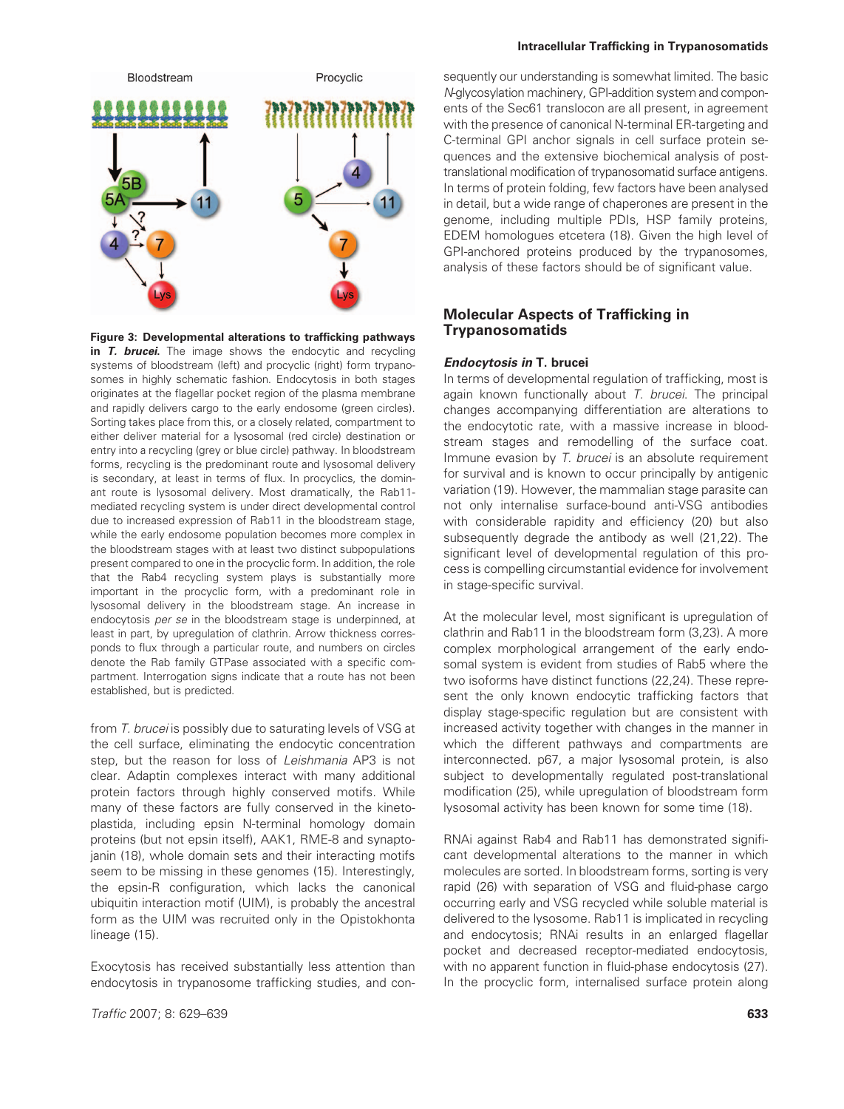#### Intracellular Trafficking in Trypanosomatids



Figure 3: Developmental alterations to trafficking pathways in T. brucei. The image shows the endocytic and recycling systems of bloodstream (left) and procyclic (right) form trypanosomes in highly schematic fashion. Endocytosis in both stages originates at the flagellar pocket region of the plasma membrane and rapidly delivers cargo to the early endosome (green circles). Sorting takes place from this, or a closely related, compartment to either deliver material for a lysosomal (red circle) destination or entry into a recycling (grey or blue circle) pathway. In bloodstream forms, recycling is the predominant route and lysosomal delivery is secondary, at least in terms of flux. In procyclics, the dominant route is lysosomal delivery. Most dramatically, the Rab11 mediated recycling system is under direct developmental control due to increased expression of Rab11 in the bloodstream stage, while the early endosome population becomes more complex in the bloodstream stages with at least two distinct subpopulations present compared to one in the procyclic form. In addition, the role that the Rab4 recycling system plays is substantially more important in the procyclic form, with a predominant role in lysosomal delivery in the bloodstream stage. An increase in endocytosis per se in the bloodstream stage is underpinned, at least in part, by upregulation of clathrin. Arrow thickness corresponds to flux through a particular route, and numbers on circles denote the Rab family GTPase associated with a specific compartment. Interrogation signs indicate that a route has not been established, but is predicted.

from T. brucei is possibly due to saturating levels of VSG at the cell surface, eliminating the endocytic concentration step, but the reason for loss of Leishmania AP3 is not clear. Adaptin complexes interact with many additional protein factors through highly conserved motifs. While many of these factors are fully conserved in the kinetoplastida, including epsin N-terminal homology domain proteins (but not epsin itself), AAK1, RME-8 and synaptojanin (18), whole domain sets and their interacting motifs seem to be missing in these genomes (15). Interestingly, the epsin-R configuration, which lacks the canonical ubiquitin interaction motif (UIM), is probably the ancestral form as the UIM was recruited only in the Opistokhonta lineage (15).

Exocytosis has received substantially less attention than endocytosis in trypanosome trafficking studies, and con-

**Traffic 2007; 8: 629–639 633 633** 

sequently our understanding is somewhat limited. The basic N-glycosylation machinery, GPI-addition system and components of the Sec61 translocon are all present, in agreement with the presence of canonical N-terminal ER-targeting and C-terminal GPI anchor signals in cell surface protein sequences and the extensive biochemical analysis of posttranslational modification of trypanosomatid surface antigens. In terms of protein folding, few factors have been analysed in detail, but a wide range of chaperones are present in the genome, including multiple PDIs, HSP family proteins, EDEM homologues etcetera (18). Given the high level of GPI-anchored proteins produced by the trypanosomes, analysis of these factors should be of significant value.

## Molecular Aspects of Trafficking in Trypanosomatids

#### Endocytosis in T. brucei

In terms of developmental regulation of trafficking, most is again known functionally about T. brucei. The principal changes accompanying differentiation are alterations to the endocytotic rate, with a massive increase in bloodstream stages and remodelling of the surface coat. Immune evasion by T. brucei is an absolute requirement for survival and is known to occur principally by antigenic variation (19). However, the mammalian stage parasite can not only internalise surface-bound anti-VSG antibodies with considerable rapidity and efficiency (20) but also subsequently degrade the antibody as well (21,22). The significant level of developmental regulation of this process is compelling circumstantial evidence for involvement in stage-specific survival.

At the molecular level, most significant is upregulation of clathrin and Rab11 in the bloodstream form (3,23). A more complex morphological arrangement of the early endosomal system is evident from studies of Rab5 where the two isoforms have distinct functions (22,24). These represent the only known endocytic trafficking factors that display stage-specific regulation but are consistent with increased activity together with changes in the manner in which the different pathways and compartments are interconnected. p67, a major lysosomal protein, is also subject to developmentally regulated post-translational modification (25), while upregulation of bloodstream form lysosomal activity has been known for some time (18).

RNAi against Rab4 and Rab11 has demonstrated significant developmental alterations to the manner in which molecules are sorted. In bloodstream forms, sorting is very rapid (26) with separation of VSG and fluid-phase cargo occurring early and VSG recycled while soluble material is delivered to the lysosome. Rab11 is implicated in recycling and endocytosis; RNAi results in an enlarged flagellar pocket and decreased receptor-mediated endocytosis, with no apparent function in fluid-phase endocytosis (27). In the procyclic form, internalised surface protein along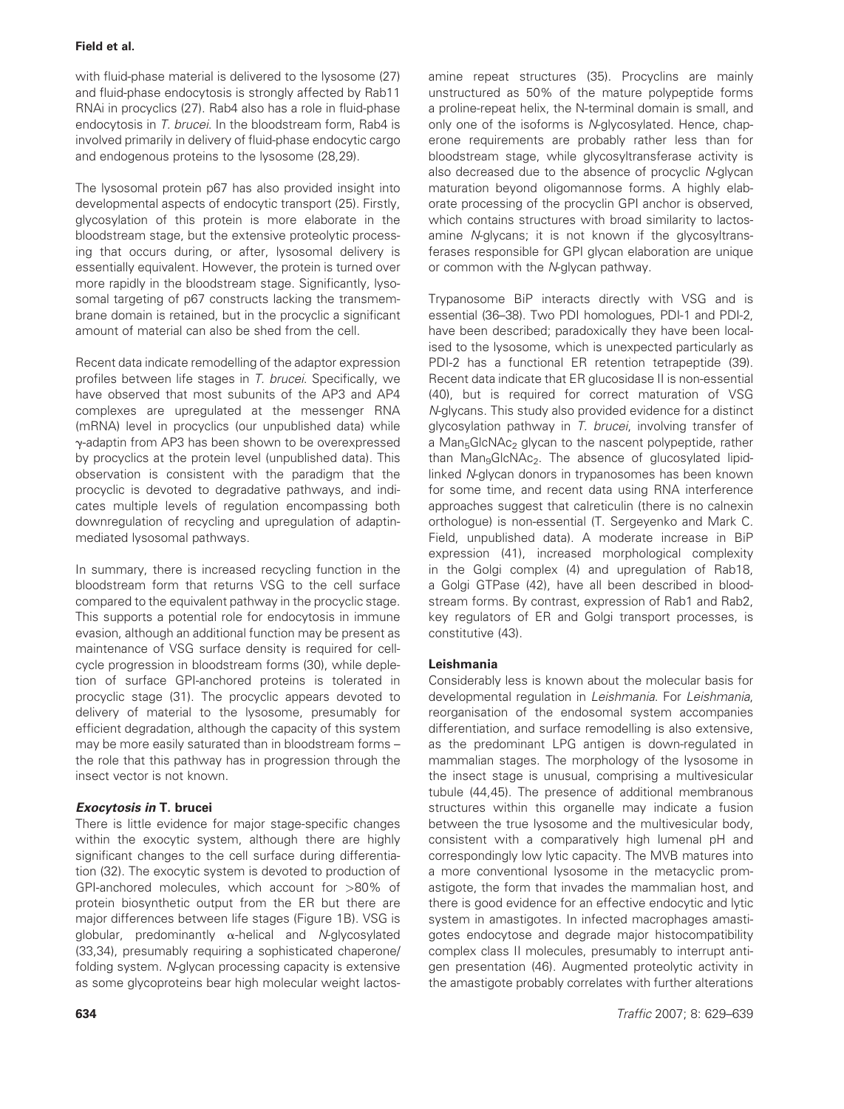with fluid-phase material is delivered to the lysosome (27) and fluid-phase endocytosis is strongly affected by Rab11 RNAi in procyclics (27). Rab4 also has a role in fluid-phase endocytosis in T. brucei. In the bloodstream form, Rab4 is involved primarily in delivery of fluid-phase endocytic cargo and endogenous proteins to the lysosome (28,29).

The lysosomal protein p67 has also provided insight into developmental aspects of endocytic transport (25). Firstly, glycosylation of this protein is more elaborate in the bloodstream stage, but the extensive proteolytic processing that occurs during, or after, lysosomal delivery is essentially equivalent. However, the protein is turned over more rapidly in the bloodstream stage. Significantly, lysosomal targeting of p67 constructs lacking the transmembrane domain is retained, but in the procyclic a significant amount of material can also be shed from the cell.

Recent data indicate remodelling of the adaptor expression profiles between life stages in T. brucei. Specifically, we have observed that most subunits of the AP3 and AP4 complexes are upregulated at the messenger RNA (mRNA) level in procyclics (our unpublished data) while g-adaptin from AP3 has been shown to be overexpressed by procyclics at the protein level (unpublished data). This observation is consistent with the paradigm that the procyclic is devoted to degradative pathways, and indicates multiple levels of regulation encompassing both downregulation of recycling and upregulation of adaptinmediated lysosomal pathways.

In summary, there is increased recycling function in the bloodstream form that returns VSG to the cell surface compared to the equivalent pathway in the procyclic stage. This supports a potential role for endocytosis in immune evasion, although an additional function may be present as maintenance of VSG surface density is required for cellcycle progression in bloodstream forms (30), while depletion of surface GPI-anchored proteins is tolerated in procyclic stage (31). The procyclic appears devoted to delivery of material to the lysosome, presumably for efficient degradation, although the capacity of this system may be more easily saturated than in bloodstream forms – the role that this pathway has in progression through the insect vector is not known.

## Exocytosis in T. brucei

There is little evidence for major stage-specific changes within the exocytic system, although there are highly significant changes to the cell surface during differentiation (32). The exocytic system is devoted to production of GPI-anchored molecules, which account for >80% of protein biosynthetic output from the ER but there are major differences between life stages (Figure 1B). VSG is globular, predominantly  $\alpha$ -helical and N-glycosylated (33,34), presumably requiring a sophisticated chaperone/ folding system. N-glycan processing capacity is extensive as some glycoproteins bear high molecular weight lactosamine repeat structures (35). Procyclins are mainly unstructured as 50% of the mature polypeptide forms a proline-repeat helix, the N-terminal domain is small, and only one of the isoforms is N-glycosylated. Hence, chaperone requirements are probably rather less than for bloodstream stage, while glycosyltransferase activity is also decreased due to the absence of procyclic N-glycan maturation beyond oligomannose forms. A highly elaborate processing of the procyclin GPI anchor is observed, which contains structures with broad similarity to lactosamine N-glycans; it is not known if the glycosyltransferases responsible for GPI glycan elaboration are unique or common with the N-glycan pathway.

Trypanosome BiP interacts directly with VSG and is essential (36–38). Two PDI homologues, PDI-1 and PDI-2, have been described; paradoxically they have been localised to the lysosome, which is unexpected particularly as PDI-2 has a functional ER retention tetrapeptide (39). Recent data indicate that ER glucosidase II is non-essential (40), but is required for correct maturation of VSG N-glycans. This study also provided evidence for a distinct glycosylation pathway in T. brucei, involving transfer of a Man<sub>5</sub>GlcNAc<sub>2</sub> glycan to the nascent polypeptide, rather than Man<sub>9</sub>GlcNAc<sub>2</sub>. The absence of glucosylated lipidlinked N-glycan donors in trypanosomes has been known for some time, and recent data using RNA interference approaches suggest that calreticulin (there is no calnexin orthologue) is non-essential (T. Sergeyenko and Mark C. Field, unpublished data). A moderate increase in BiP expression (41), increased morphological complexity in the Golgi complex (4) and upregulation of Rab18, a Golgi GTPase (42), have all been described in bloodstream forms. By contrast, expression of Rab1 and Rab2, key regulators of ER and Golgi transport processes, is constitutive (43).

## Leishmania

Considerably less is known about the molecular basis for developmental regulation in Leishmania. For Leishmania, reorganisation of the endosomal system accompanies differentiation, and surface remodelling is also extensive, as the predominant LPG antigen is down-regulated in mammalian stages. The morphology of the lysosome in the insect stage is unusual, comprising a multivesicular tubule (44,45). The presence of additional membranous structures within this organelle may indicate a fusion between the true lysosome and the multivesicular body, consistent with a comparatively high lumenal pH and correspondingly low lytic capacity. The MVB matures into a more conventional lysosome in the metacyclic promastigote, the form that invades the mammalian host, and there is good evidence for an effective endocytic and lytic system in amastigotes. In infected macrophages amastigotes endocytose and degrade major histocompatibility complex class II molecules, presumably to interrupt antigen presentation (46). Augmented proteolytic activity in the amastigote probably correlates with further alterations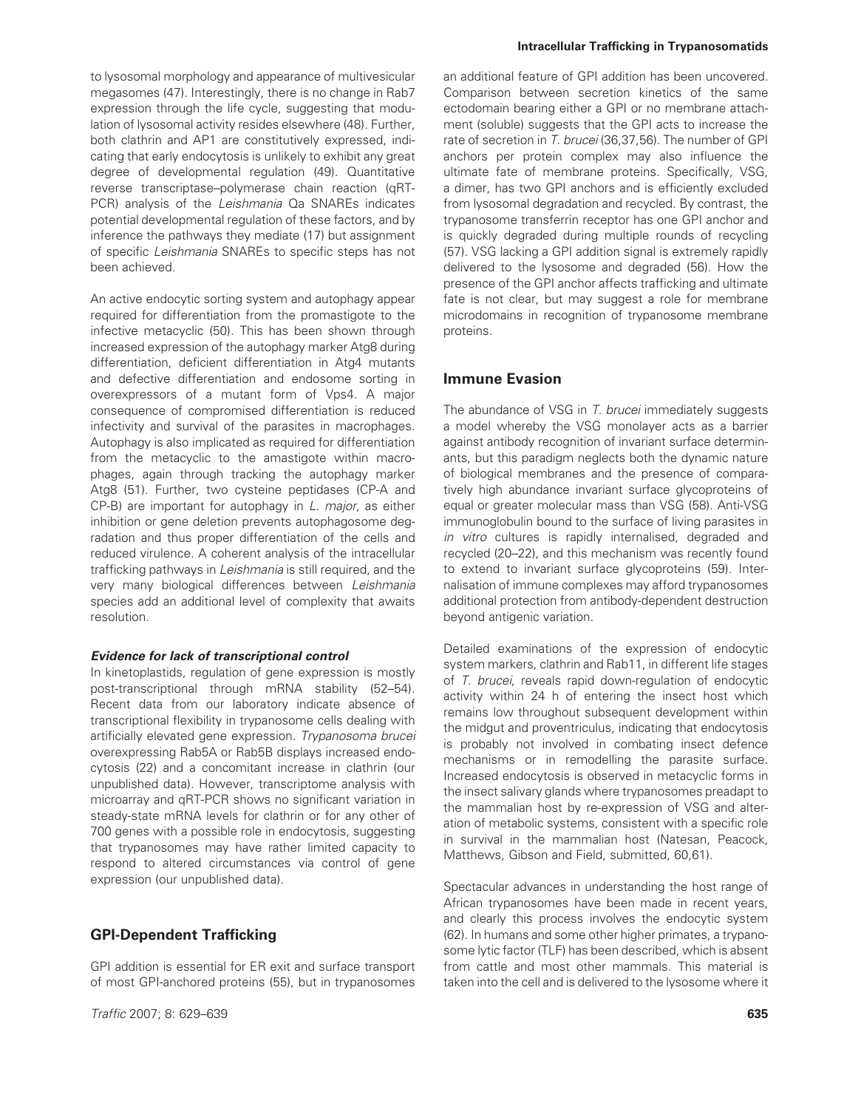to lysosomal morphology and appearance of multivesicular megasomes (47). Interestingly, there is no change in Rab7 expression through the life cycle, suggesting that modulation of lysosomal activity resides elsewhere (48). Further, both clathrin and AP1 are constitutively expressed, indicating that early endocytosis is unlikely to exhibit any great degree of developmental regulation (49). Quantitative reverse transcriptase–polymerase chain reaction (qRT-PCR) analysis of the Leishmania Qa SNAREs indicates potential developmental regulation of these factors, and by inference the pathways they mediate (17) but assignment of specific Leishmania SNAREs to specific steps has not been achieved.

An active endocytic sorting system and autophagy appear required for differentiation from the promastigote to the infective metacyclic (50). This has been shown through increased expression of the autophagy marker Atg8 during differentiation, deficient differentiation in Atg4 mutants and defective differentiation and endosome sorting in overexpressors of a mutant form of Vps4. A major consequence of compromised differentiation is reduced infectivity and survival of the parasites in macrophages. Autophagy is also implicated as required for differentiation from the metacyclic to the amastigote within macrophages, again through tracking the autophagy marker Atg8 (51). Further, two cysteine peptidases (CP-A and CP-B) are important for autophagy in L. major, as either inhibition or gene deletion prevents autophagosome degradation and thus proper differentiation of the cells and reduced virulence. A coherent analysis of the intracellular trafficking pathways in Leishmania is still required, and the very many biological differences between Leishmania species add an additional level of complexity that awaits resolution.

#### Evidence for lack of transcriptional control

In kinetoplastids, regulation of gene expression is mostly post-transcriptional through mRNA stability (52–54). Recent data from our laboratory indicate absence of transcriptional flexibility in trypanosome cells dealing with artificially elevated gene expression. Trypanosoma brucei overexpressing Rab5A or Rab5B displays increased endocytosis (22) and a concomitant increase in clathrin (our unpublished data). However, transcriptome analysis with microarray and qRT-PCR shows no significant variation in steady-state mRNA levels for clathrin or for any other of 700 genes with a possible role in endocytosis, suggesting that trypanosomes may have rather limited capacity to respond to altered circumstances via control of gene expression (our unpublished data).

## GPI-Dependent Trafficking

GPI addition is essential for ER exit and surface transport of most GPI-anchored proteins (55), but in trypanosomes

#### Intracellular Trafficking in Trypanosomatids

an additional feature of GPI addition has been uncovered. Comparison between secretion kinetics of the same ectodomain bearing either a GPI or no membrane attachment (soluble) suggests that the GPI acts to increase the rate of secretion in T. brucei (36,37,56). The number of GPI anchors per protein complex may also influence the ultimate fate of membrane proteins. Specifically, VSG, a dimer, has two GPI anchors and is efficiently excluded from lysosomal degradation and recycled. By contrast, the trypanosome transferrin receptor has one GPI anchor and is quickly degraded during multiple rounds of recycling (57). VSG lacking a GPI addition signal is extremely rapidly delivered to the lysosome and degraded (56). How the presence of the GPI anchor affects trafficking and ultimate fate is not clear, but may suggest a role for membrane microdomains in recognition of trypanosome membrane proteins.

## Immune Evasion

The abundance of VSG in T. brucei immediately suggests a model whereby the VSG monolayer acts as a barrier against antibody recognition of invariant surface determinants, but this paradigm neglects both the dynamic nature of biological membranes and the presence of comparatively high abundance invariant surface glycoproteins of equal or greater molecular mass than VSG (58). Anti-VSG immunoglobulin bound to the surface of living parasites in in vitro cultures is rapidly internalised, degraded and recycled (20–22), and this mechanism was recently found to extend to invariant surface glycoproteins (59). Internalisation of immune complexes may afford trypanosomes additional protection from antibody-dependent destruction beyond antigenic variation.

Detailed examinations of the expression of endocytic system markers, clathrin and Rab11, in different life stages of T. brucei, reveals rapid down-regulation of endocytic activity within 24 h of entering the insect host which remains low throughout subsequent development within the midgut and proventriculus, indicating that endocytosis is probably not involved in combating insect defence mechanisms or in remodelling the parasite surface. Increased endocytosis is observed in metacyclic forms in the insect salivary glands where trypanosomes preadapt to the mammalian host by re-expression of VSG and alteration of metabolic systems, consistent with a specific role in survival in the mammalian host (Natesan, Peacock, Matthews, Gibson and Field, submitted, 60,61).

Spectacular advances in understanding the host range of African trypanosomes have been made in recent years, and clearly this process involves the endocytic system (62). In humans and some other higher primates, a trypanosome lytic factor (TLF) has been described, which is absent from cattle and most other mammals. This material is taken into the cell and is delivered to the lysosome where it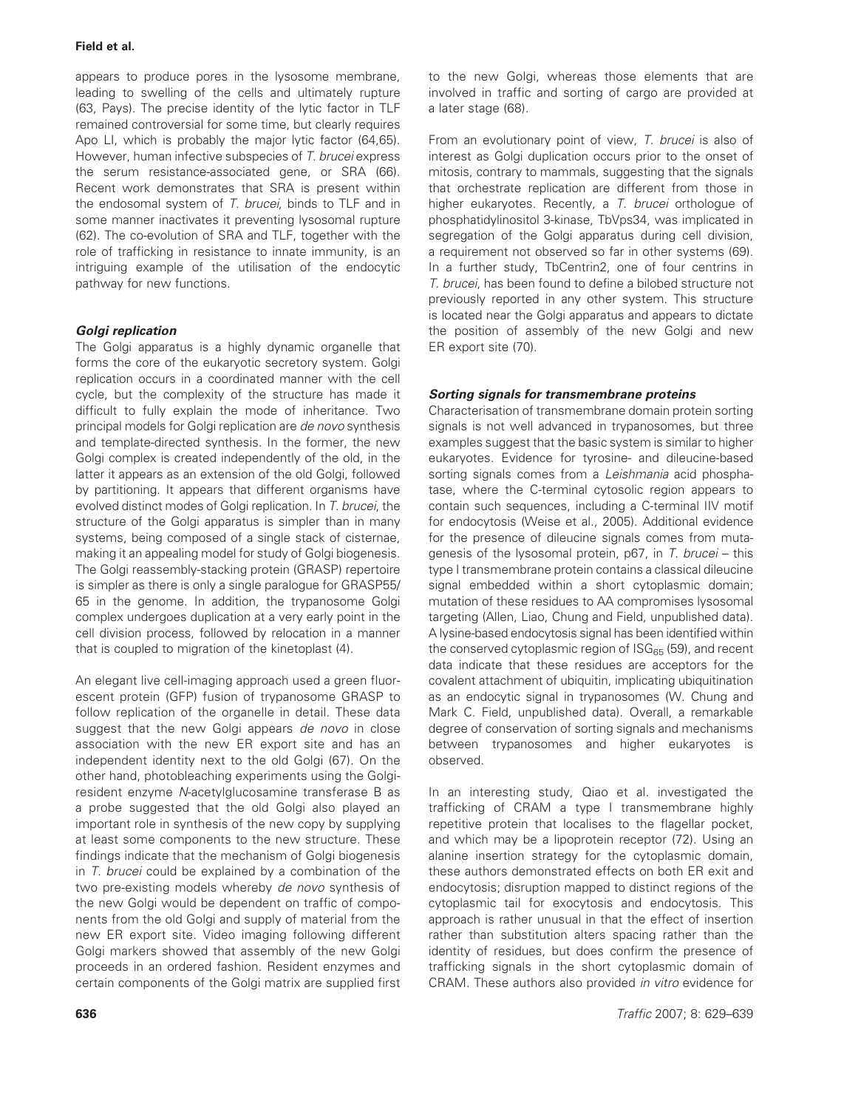appears to produce pores in the lysosome membrane, leading to swelling of the cells and ultimately rupture (63, Pays). The precise identity of the lytic factor in TLF remained controversial for some time, but clearly requires Apo LI, which is probably the major lytic factor (64,65). However, human infective subspecies of T. brucei express the serum resistance-associated gene, or SRA (66). Recent work demonstrates that SRA is present within the endosomal system of T. brucei, binds to TLF and in some manner inactivates it preventing lysosomal rupture (62). The co-evolution of SRA and TLF, together with the role of trafficking in resistance to innate immunity, is an intriguing example of the utilisation of the endocytic pathway for new functions.

## Golgi replication

The Golgi apparatus is a highly dynamic organelle that forms the core of the eukaryotic secretory system. Golgi replication occurs in a coordinated manner with the cell cycle, but the complexity of the structure has made it difficult to fully explain the mode of inheritance. Two principal models for Golgi replication are de novo synthesis and template-directed synthesis. In the former, the new Golgi complex is created independently of the old, in the latter it appears as an extension of the old Golgi, followed by partitioning. It appears that different organisms have evolved distinct modes of Golgi replication. In T. brucei, the structure of the Golgi apparatus is simpler than in many systems, being composed of a single stack of cisternae, making it an appealing model for study of Golgi biogenesis. The Golgi reassembly-stacking protein (GRASP) repertoire is simpler as there is only a single paralogue for GRASP55/ 65 in the genome. In addition, the trypanosome Golgi complex undergoes duplication at a very early point in the cell division process, followed by relocation in a manner that is coupled to migration of the kinetoplast (4).

An elegant live cell-imaging approach used a green fluorescent protein (GFP) fusion of trypanosome GRASP to follow replication of the organelle in detail. These data suggest that the new Golgi appears de novo in close association with the new ER export site and has an independent identity next to the old Golgi (67). On the other hand, photobleaching experiments using the Golgiresident enzyme N-acetylglucosamine transferase B as a probe suggested that the old Golgi also played an important role in synthesis of the new copy by supplying at least some components to the new structure. These findings indicate that the mechanism of Golgi biogenesis in T. brucei could be explained by a combination of the two pre-existing models whereby de novo synthesis of the new Golgi would be dependent on traffic of components from the old Golgi and supply of material from the new ER export site. Video imaging following different Golgi markers showed that assembly of the new Golgi proceeds in an ordered fashion. Resident enzymes and certain components of the Golgi matrix are supplied first

to the new Golgi, whereas those elements that are involved in traffic and sorting of cargo are provided at a later stage (68).

From an evolutionary point of view, T. brucei is also of interest as Golgi duplication occurs prior to the onset of mitosis, contrary to mammals, suggesting that the signals that orchestrate replication are different from those in higher eukaryotes. Recently, a T. brucei orthologue of phosphatidylinositol 3-kinase, TbVps34, was implicated in segregation of the Golgi apparatus during cell division, a requirement not observed so far in other systems (69). In a further study, TbCentrin2, one of four centrins in T. brucei, has been found to define a bilobed structure not previously reported in any other system. This structure is located near the Golgi apparatus and appears to dictate the position of assembly of the new Golgi and new ER export site (70).

## Sorting signals for transmembrane proteins

Characterisation of transmembrane domain protein sorting signals is not well advanced in trypanosomes, but three examples suggest that the basic system is similar to higher eukaryotes. Evidence for tyrosine- and dileucine-based sorting signals comes from a *Leishmania* acid phosphatase, where the C-terminal cytosolic region appears to contain such sequences, including a C-terminal IIV motif for endocytosis (Weise et al., 2005). Additional evidence for the presence of dileucine signals comes from mutagenesis of the lysosomal protein, p67, in T. brucei – this type I transmembrane protein contains a classical dileucine signal embedded within a short cytoplasmic domain; mutation of these residues to AA compromises lysosomal targeting (Allen, Liao, Chung and Field, unpublished data). A lysine-based endocytosis signal has been identified within the conserved cytoplasmic region of  $\text{ISG}_{65}$  (59), and recent data indicate that these residues are acceptors for the covalent attachment of ubiquitin, implicating ubiquitination as an endocytic signal in trypanosomes (W. Chung and Mark C. Field, unpublished data). Overall, a remarkable degree of conservation of sorting signals and mechanisms between trypanosomes and higher eukaryotes is observed.

In an interesting study, Qiao et al. investigated the trafficking of CRAM a type I transmembrane highly repetitive protein that localises to the flagellar pocket, and which may be a lipoprotein receptor (72). Using an alanine insertion strategy for the cytoplasmic domain, these authors demonstrated effects on both ER exit and endocytosis; disruption mapped to distinct regions of the cytoplasmic tail for exocytosis and endocytosis. This approach is rather unusual in that the effect of insertion rather than substitution alters spacing rather than the identity of residues, but does confirm the presence of trafficking signals in the short cytoplasmic domain of CRAM. These authors also provided in vitro evidence for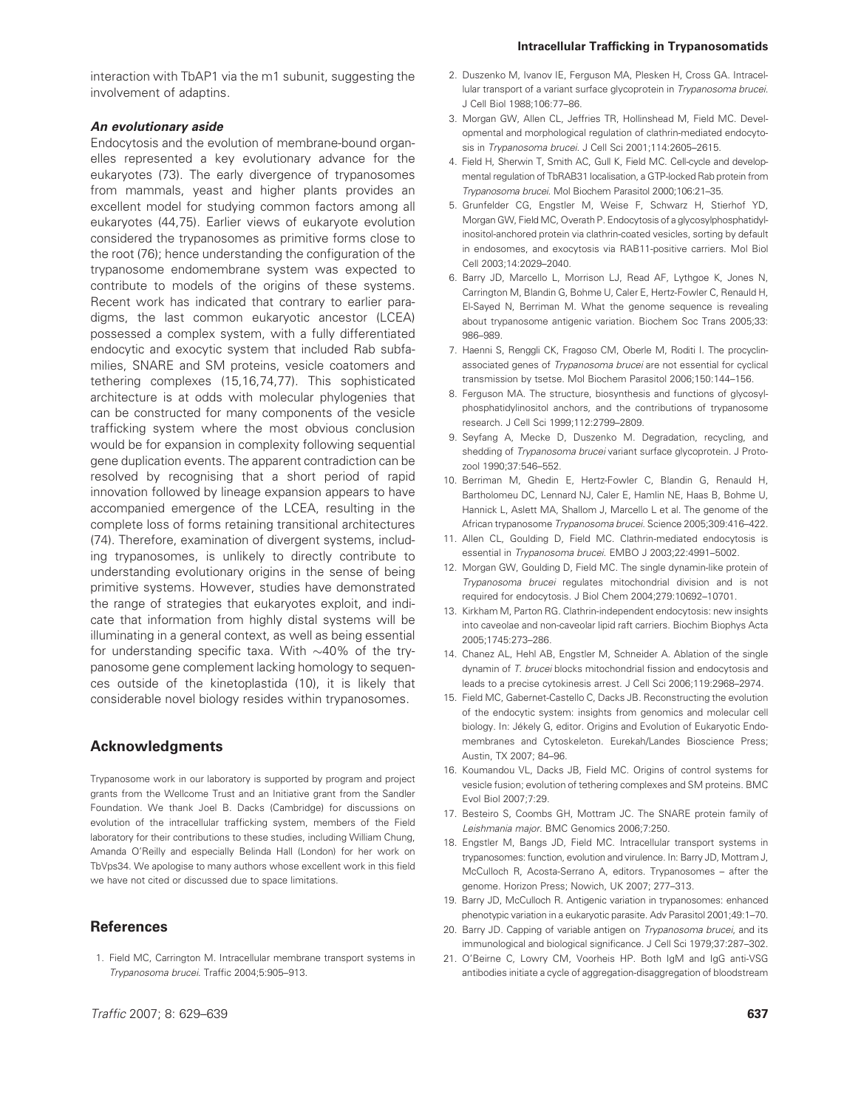interaction with TbAP1 via the m1 subunit, suggesting the involvement of adaptins.

#### An evolutionary aside

Endocytosis and the evolution of membrane-bound organelles represented a key evolutionary advance for the eukaryotes (73). The early divergence of trypanosomes from mammals, yeast and higher plants provides an excellent model for studying common factors among all eukaryotes (44,75). Earlier views of eukaryote evolution considered the trypanosomes as primitive forms close to the root (76); hence understanding the configuration of the trypanosome endomembrane system was expected to contribute to models of the origins of these systems. Recent work has indicated that contrary to earlier paradigms, the last common eukaryotic ancestor (LCEA) possessed a complex system, with a fully differentiated endocytic and exocytic system that included Rab subfamilies, SNARE and SM proteins, vesicle coatomers and tethering complexes (15,16,74,77). This sophisticated architecture is at odds with molecular phylogenies that can be constructed for many components of the vesicle trafficking system where the most obvious conclusion would be for expansion in complexity following sequential gene duplication events. The apparent contradiction can be resolved by recognising that a short period of rapid innovation followed by lineage expansion appears to have accompanied emergence of the LCEA, resulting in the complete loss of forms retaining transitional architectures (74). Therefore, examination of divergent systems, including trypanosomes, is unlikely to directly contribute to understanding evolutionary origins in the sense of being primitive systems. However, studies have demonstrated the range of strategies that eukaryotes exploit, and indicate that information from highly distal systems will be illuminating in a general context, as well as being essential for understanding specific taxa. With  $\sim$ 40% of the trypanosome gene complement lacking homology to sequences outside of the kinetoplastida (10), it is likely that considerable novel biology resides within trypanosomes.

## Acknowledgments

Trypanosome work in our laboratory is supported by program and project grants from the Wellcome Trust and an Initiative grant from the Sandler Foundation. We thank Joel B. Dacks (Cambridge) for discussions on evolution of the intracellular trafficking system, members of the Field laboratory for their contributions to these studies, including William Chung, Amanda O'Reilly and especially Belinda Hall (London) for her work on TbVps34. We apologise to many authors whose excellent work in this field we have not cited or discussed due to space limitations.

## References

1. Field MC, Carrington M. Intracellular membrane transport systems in Trypanosoma brucei. Traffic 2004;5:905–913.

- 2. Duszenko M, Ivanov IE, Ferguson MA, Plesken H, Cross GA. Intracellular transport of a variant surface glycoprotein in Trypanosoma brucei. J Cell Biol 1988;106:77–86.
- 3. Morgan GW, Allen CL, Jeffries TR, Hollinshead M, Field MC. Developmental and morphological regulation of clathrin-mediated endocytosis in Trypanosoma brucei. J Cell Sci 2001;114:2605-2615.
- 4. Field H, Sherwin T, Smith AC, Gull K, Field MC. Cell-cycle and developmental regulation of TbRAB31 localisation, a GTP-locked Rab protein from Trypanosoma brucei. Mol Biochem Parasitol 2000;106:21–35.
- 5. Grunfelder CG, Engstler M, Weise F, Schwarz H, Stierhof YD, Morgan GW, Field MC, Overath P. Endocytosis of a glycosylphosphatidylinositol-anchored protein via clathrin-coated vesicles, sorting by default in endosomes, and exocytosis via RAB11-positive carriers. Mol Biol Cell 2003;14:2029–2040.
- 6. Barry JD, Marcello L, Morrison LJ, Read AF, Lythgoe K, Jones N, Carrington M, Blandin G, Bohme U, Caler E, Hertz-Fowler C, Renauld H, El-Sayed N, Berriman M. What the genome sequence is revealing about trypanosome antigenic variation. Biochem Soc Trans 2005;33: 986–989.
- 7. Haenni S, Renggli CK, Fragoso CM, Oberle M, Roditi I. The procyclinassociated genes of Trypanosoma brucei are not essential for cyclical transmission by tsetse. Mol Biochem Parasitol 2006;150:144–156.
- 8. Ferguson MA. The structure, biosynthesis and functions of glycosylphosphatidylinositol anchors, and the contributions of trypanosome research. J Cell Sci 1999;112:2799–2809.
- 9. Seyfang A, Mecke D, Duszenko M. Degradation, recycling, and shedding of Trypanosoma brucei variant surface glycoprotein. J Protozool 1990;37:546–552.
- 10. Berriman M, Ghedin E, Hertz-Fowler C, Blandin G, Renauld H, Bartholomeu DC, Lennard NJ, Caler E, Hamlin NE, Haas B, Bohme U, Hannick L, Aslett MA, Shallom J, Marcello L et al. The genome of the African trypanosome Trypanosoma brucei. Science 2005;309:416–422.
- 11. Allen CL, Goulding D, Field MC. Clathrin-mediated endocytosis is essential in Trypanosoma brucei. EMBO J 2003;22:4991–5002.
- 12. Morgan GW, Goulding D, Field MC. The single dynamin-like protein of Trypanosoma brucei regulates mitochondrial division and is not required for endocytosis. J Biol Chem 2004;279:10692–10701.
- 13. Kirkham M, Parton RG. Clathrin-independent endocytosis: new insights into caveolae and non-caveolar lipid raft carriers. Biochim Biophys Acta 2005;1745:273–286.
- 14. Chanez AL, Hehl AB, Engstler M, Schneider A. Ablation of the single dynamin of T. brucei blocks mitochondrial fission and endocytosis and leads to a precise cytokinesis arrest. J Cell Sci 2006;119:2968–2974.
- 15. Field MC, Gabernet-Castello C, Dacks JB. Reconstructing the evolution of the endocytic system: insights from genomics and molecular cell biology. In: Jékely G, editor. Origins and Evolution of Eukaryotic Endomembranes and Cytoskeleton. Eurekah/Landes Bioscience Press; Austin, TX 2007; 84–96.
- 16. Koumandou VL, Dacks JB, Field MC. Origins of control systems for vesicle fusion; evolution of tethering complexes and SM proteins. BMC Evol Biol 2007;7:29.
- 17. Besteiro S, Coombs GH, Mottram JC. The SNARE protein family of Leishmania major. BMC Genomics 2006;7:250.
- 18. Engstler M, Bangs JD, Field MC. Intracellular transport systems in trypanosomes: function, evolution and virulence. In: Barry JD, Mottram J, McCulloch R, Acosta-Serrano A, editors. Trypanosomes – after the genome. Horizon Press; Nowich, UK 2007; 277–313.
- 19. Barry JD, McCulloch R. Antigenic variation in trypanosomes: enhanced phenotypic variation in a eukaryotic parasite. Adv Parasitol 2001;49:1–70.
- 20. Barry JD. Capping of variable antigen on Trypanosoma brucei, and its immunological and biological significance. J Cell Sci 1979;37:287–302.
- 21. O'Beirne C, Lowry CM, Voorheis HP. Both IgM and IgG anti-VSG antibodies initiate a cycle of aggregation-disaggregation of bloodstream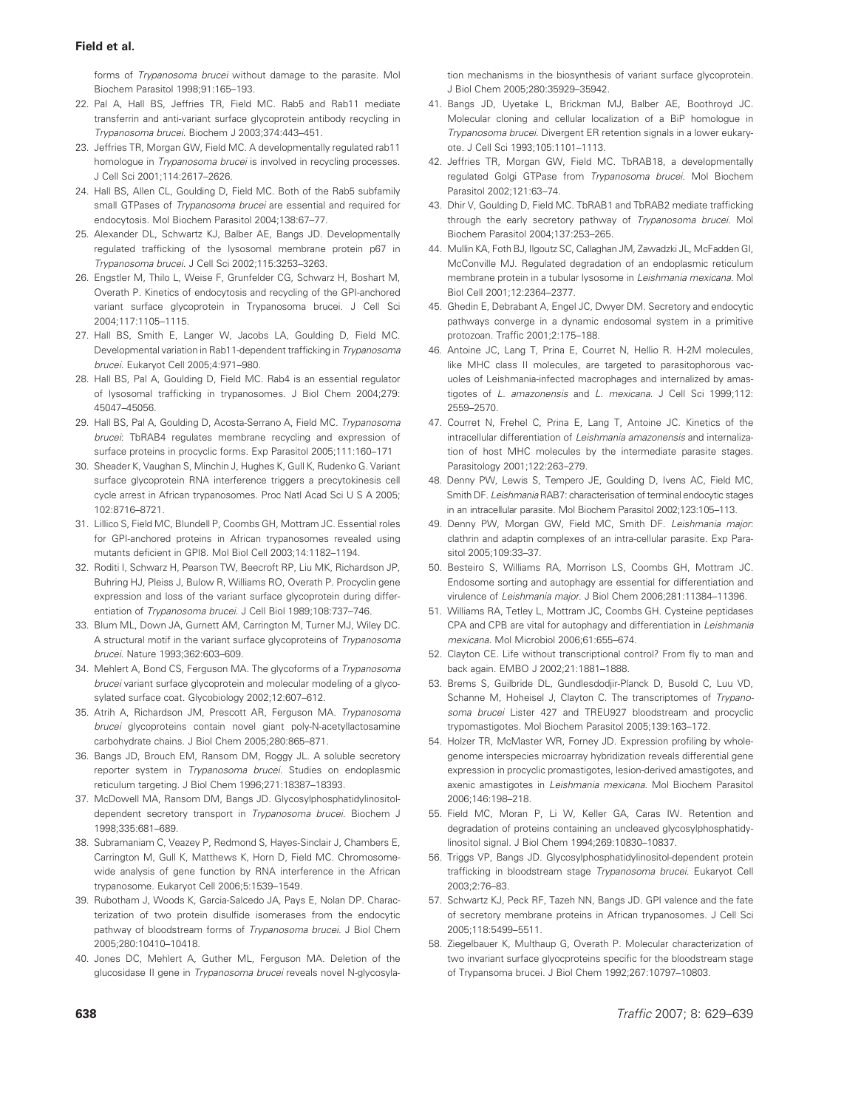forms of Trypanosoma brucei without damage to the parasite. Mol Biochem Parasitol 1998;91:165–193.

- 22. Pal A, Hall BS, Jeffries TR, Field MC. Rab5 and Rab11 mediate transferrin and anti-variant surface glycoprotein antibody recycling in Trypanosoma brucei. Biochem J 2003;374:443–451.
- 23. Jeffries TR, Morgan GW, Field MC. A developmentally regulated rab11 homologue in Trypanosoma brucei is involved in recycling processes. J Cell Sci 2001;114:2617–2626.
- 24. Hall BS, Allen CL, Goulding D, Field MC. Both of the Rab5 subfamily small GTPases of Trypanosoma brucei are essential and required for endocytosis. Mol Biochem Parasitol 2004;138:67–77.
- 25. Alexander DL, Schwartz KJ, Balber AE, Bangs JD. Developmentally regulated trafficking of the lysosomal membrane protein p67 in Trypanosoma brucei. J Cell Sci 2002;115:3253–3263.
- 26. Engstler M, Thilo L, Weise F, Grunfelder CG, Schwarz H, Boshart M, Overath P. Kinetics of endocytosis and recycling of the GPI-anchored variant surface glycoprotein in Trypanosoma brucei. J Cell Sci 2004;117:1105–1115.
- 27. Hall BS, Smith E, Langer W, Jacobs LA, Goulding D, Field MC. Developmental variation in Rab11-dependent trafficking in Trypanosoma brucei. Eukaryot Cell 2005;4:971–980.
- 28. Hall BS, Pal A, Goulding D, Field MC. Rab4 is an essential regulator of lysosomal trafficking in trypanosomes. J Biol Chem 2004;279: 45047–45056.
- 29. Hall BS, Pal A, Goulding D, Acosta-Serrano A, Field MC. Trypanosoma brucei: TbRAB4 regulates membrane recycling and expression of surface proteins in procyclic forms. Exp Parasitol 2005;111:160–171
- 30. Sheader K, Vaughan S, Minchin J, Hughes K, Gull K, Rudenko G. Variant surface glycoprotein RNA interference triggers a precytokinesis cell cycle arrest in African trypanosomes. Proc Natl Acad Sci U S A 2005; 102:8716–8721.
- 31. Lillico S, Field MC, Blundell P, Coombs GH, Mottram JC. Essential roles for GPI-anchored proteins in African trypanosomes revealed using mutants deficient in GPI8. Mol Biol Cell 2003;14:1182–1194.
- 32. Roditi I, Schwarz H, Pearson TW, Beecroft RP, Liu MK, Richardson JP, Buhring HJ, Pleiss J, Bulow R, Williams RO, Overath P. Procyclin gene expression and loss of the variant surface glycoprotein during differentiation of Trypanosoma brucei. J Cell Biol 1989;108:737–746.
- 33. Blum ML, Down JA, Gurnett AM, Carrington M, Turner MJ, Wiley DC. A structural motif in the variant surface glycoproteins of Trypanosoma brucei. Nature 1993;362:603–609.
- 34. Mehlert A, Bond CS, Ferguson MA. The glycoforms of a Trypanosoma brucei variant surface glycoprotein and molecular modeling of a glycosylated surface coat. Glycobiology 2002;12:607–612.
- 35. Atrih A, Richardson JM, Prescott AR, Ferguson MA. Trypanosoma brucei glycoproteins contain novel giant poly-N-acetyllactosamine carbohydrate chains. J Biol Chem 2005;280:865–871.
- 36. Bangs JD, Brouch EM, Ransom DM, Roggy JL. A soluble secretory reporter system in Trypanosoma brucei. Studies on endoplasmic reticulum targeting. J Biol Chem 1996;271:18387–18393.
- 37. McDowell MA, Ransom DM, Bangs JD. Glycosylphosphatidylinositoldependent secretory transport in Trypanosoma brucei. Biochem J 1998;335:681–689.
- 38. Subramaniam C, Veazey P, Redmond S, Hayes-Sinclair J, Chambers E, Carrington M, Gull K, Matthews K, Horn D, Field MC. Chromosomewide analysis of gene function by RNA interference in the African trypanosome. Eukaryot Cell 2006;5:1539–1549.
- 39. Rubotham J, Woods K, Garcia-Salcedo JA, Pays E, Nolan DP. Characterization of two protein disulfide isomerases from the endocytic pathway of bloodstream forms of Trypanosoma brucei. J Biol Chem 2005;280:10410–10418.
- 40. Jones DC, Mehlert A, Guther ML, Ferguson MA. Deletion of the glucosidase II gene in *Trypanosoma brucei* reveals novel N-glycosyla-

tion mechanisms in the biosynthesis of variant surface glycoprotein. J Biol Chem 2005;280:35929–35942.

- 41. Bangs JD, Uyetake L, Brickman MJ, Balber AE, Boothroyd JC. Molecular cloning and cellular localization of a BiP homologue in Trypanosoma brucei. Divergent ER retention signals in a lower eukaryote. J Cell Sci 1993;105:1101–1113.
- 42. Jeffries TR, Morgan GW, Field MC. TbRAB18, a developmentally regulated Golgi GTPase from Trypanosoma brucei. Mol Biochem Parasitol 2002;121:63–74.
- 43. Dhir V, Goulding D, Field MC. TbRAB1 and TbRAB2 mediate trafficking through the early secretory pathway of Trypanosoma brucei. Mol Biochem Parasitol 2004;137:253–265.
- 44. Mullin KA, Foth BJ, Ilgoutz SC, Callaghan JM, Zawadzki JL, McFadden GI, McConville MJ. Regulated degradation of an endoplasmic reticulum membrane protein in a tubular lysosome in Leishmania mexicana. Mol Biol Cell 2001;12:2364–2377.
- 45. Ghedin E, Debrabant A, Engel JC, Dwyer DM. Secretory and endocytic pathways converge in a dynamic endosomal system in a primitive protozoan. Traffic 2001;2:175–188.
- 46. Antoine JC, Lang T, Prina E, Courret N, Hellio R. H-2M molecules, like MHC class II molecules, are targeted to parasitophorous vacuoles of Leishmania-infected macrophages and internalized by amastigotes of L. amazonensis and L. mexicana. J Cell Sci 1999;112: 2559–2570.
- 47. Courret N, Frehel C, Prina E, Lang T, Antoine JC. Kinetics of the intracellular differentiation of Leishmania amazonensis and internalization of host MHC molecules by the intermediate parasite stages. Parasitology 2001;122:263–279.
- 48. Denny PW, Lewis S, Tempero JE, Goulding D, Ivens AC, Field MC, Smith DF. Leishmania RAB7: characterisation of terminal endocytic stages in an intracellular parasite. Mol Biochem Parasitol 2002;123:105–113.
- 49. Denny PW, Morgan GW, Field MC, Smith DF. Leishmania major: clathrin and adaptin complexes of an intra-cellular parasite. Exp Parasitol 2005;109:33–37.
- 50. Besteiro S, Williams RA, Morrison LS, Coombs GH, Mottram JC. Endosome sorting and autophagy are essential for differentiation and virulence of Leishmania major. J Biol Chem 2006;281:11384–11396.
- 51. Williams RA, Tetley L, Mottram JC, Coombs GH. Cysteine peptidases CPA and CPB are vital for autophagy and differentiation in Leishmania mexicana. Mol Microbiol 2006;61:655–674.
- 52. Clayton CE. Life without transcriptional control? From fly to man and back again. EMBO J 2002;21:1881–1888.
- 53. Brems S, Guilbride DL, Gundlesdodjir-Planck D, Busold C, Luu VD, Schanne M, Hoheisel J, Clayton C. The transcriptomes of Trypanosoma brucei Lister 427 and TREU927 bloodstream and procyclic trypomastigotes. Mol Biochem Parasitol 2005;139:163–172.
- 54. Holzer TR, McMaster WR, Forney JD. Expression profiling by wholegenome interspecies microarray hybridization reveals differential gene expression in procyclic promastigotes, lesion-derived amastigotes, and axenic amastigotes in Leishmania mexicana. Mol Biochem Parasitol 2006;146:198–218.
- 55. Field MC, Moran P, Li W, Keller GA, Caras IW. Retention and degradation of proteins containing an uncleaved glycosylphosphatidylinositol signal. J Biol Chem 1994;269:10830–10837.
- 56. Triggs VP, Bangs JD. Glycosylphosphatidylinositol-dependent protein trafficking in bloodstream stage Trypanosoma brucei. Eukaryot Cell 2003;2:76–83.
- 57. Schwartz KJ, Peck RF, Tazeh NN, Bangs JD. GPI valence and the fate of secretory membrane proteins in African trypanosomes. J Cell Sci 2005;118:5499–5511.
- 58. Ziegelbauer K, Multhaup G, Overath P. Molecular characterization of two invariant surface glyocproteins specific for the bloodstream stage of Trypansoma brucei. J Biol Chem 1992;267:10797–10803.